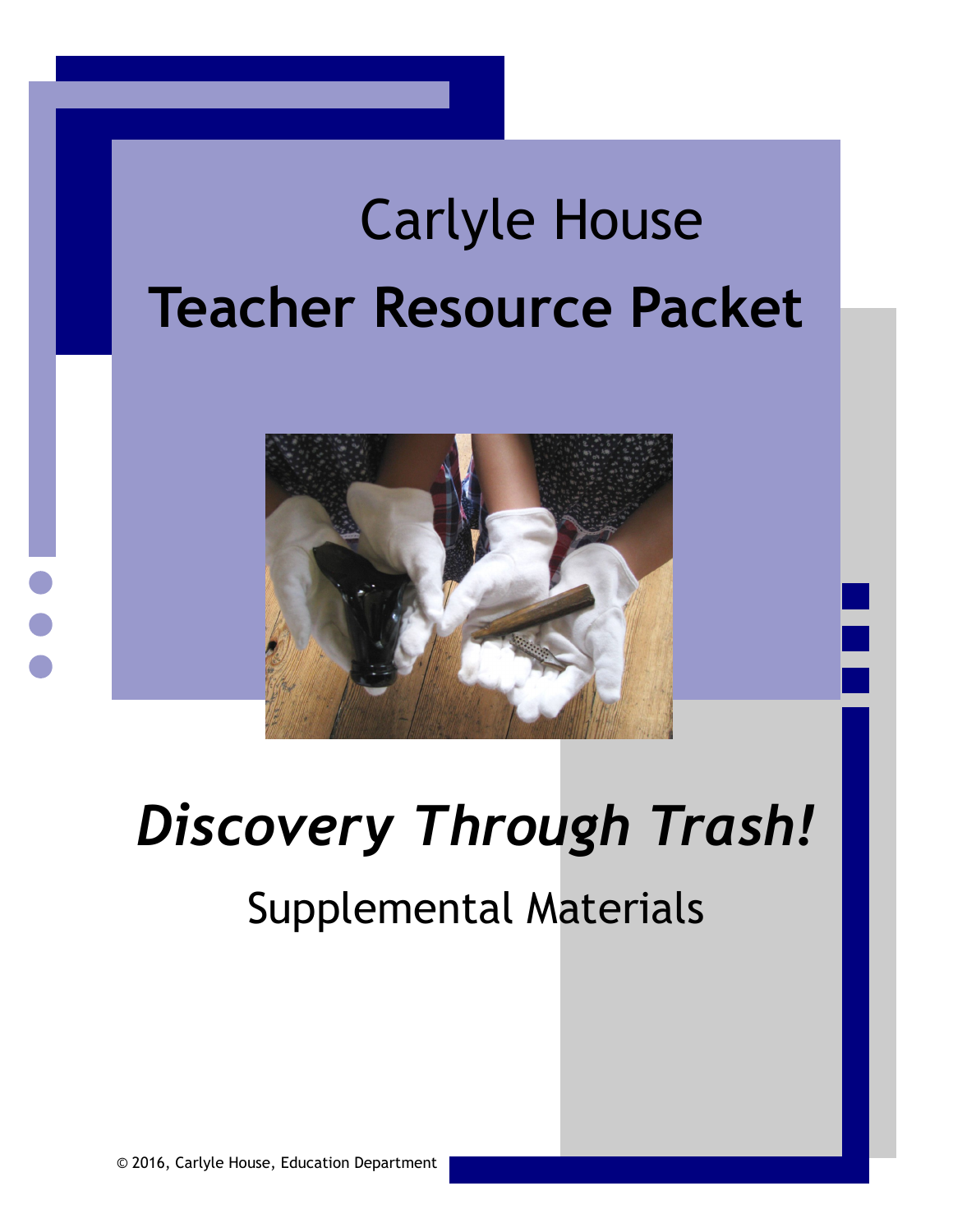# Carlyle House **Teacher Resource Packet**



# *Discovery Through Trash!*

## Supplemental Materials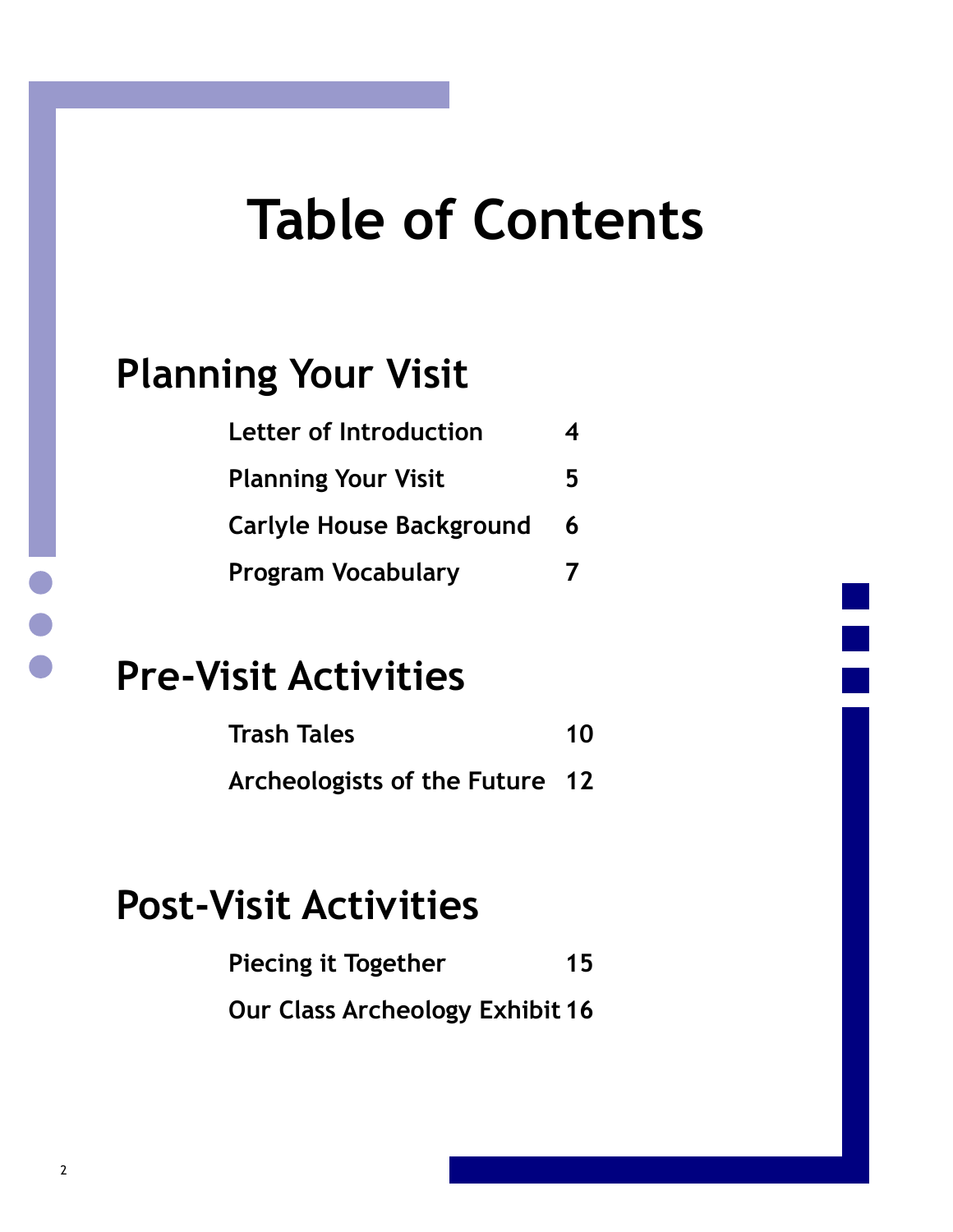# **Table of Contents**

### **Planning Your Visit**

| <b>Letter of Introduction</b> |   |  |
|-------------------------------|---|--|
| <b>Planning Your Visit</b>    | 5 |  |
| Carlyle House Background      | 6 |  |
| <b>Program Vocabulary</b>     |   |  |

### **Pre-Visit Activities**

| <b>Trash Tales</b>             | 10 |
|--------------------------------|----|
| Archeologists of the Future 12 |    |

### **Post-Visit Activities**

**Piecing it Together 15 Our Class Archeology Exhibit 16**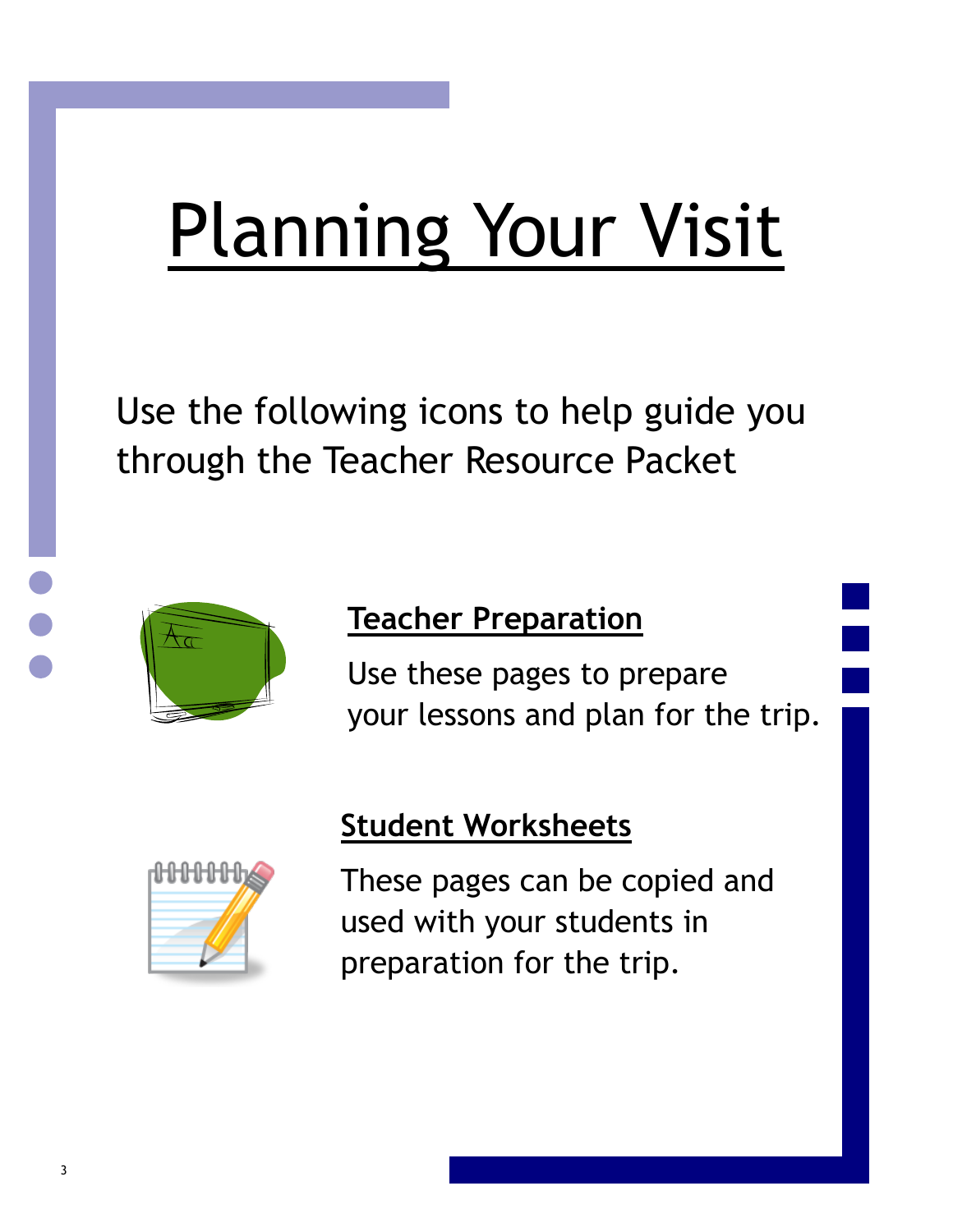# Planning Your Visit

Use the following icons to help guide you through the Teacher Resource Packet



### **Teacher Preparation**

Use these pages to prepare your lessons and plan for the trip.



### **Student Worksheets**

These pages can be copied and used with your students in preparation for the trip.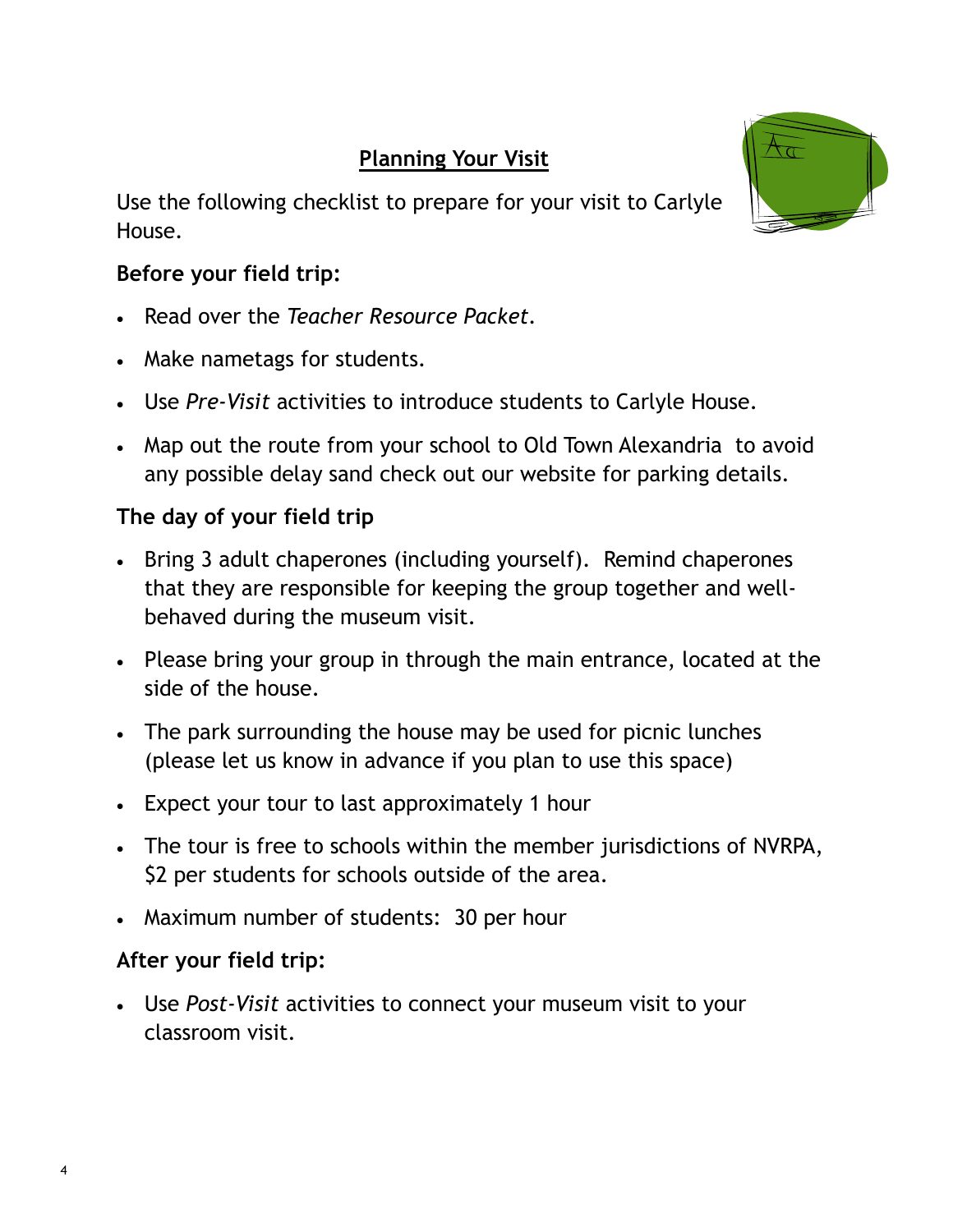### **Planning Your Visit**

Use the following checklist to prepare for your visit to Carlyle House.

#### **Before your field trip:**

- Read over the *Teacher Resource Packet.*
- Make nametags for students.
- Use *Pre-Visit* activities to introduce students to Carlyle House.
- Map out the route from your school to Old Town Alexandria to avoid any possible delay sand check out our website for parking details.

### **The day of your field trip**

- Bring 3 adult chaperones (including yourself). Remind chaperones that they are responsible for keeping the group together and wellbehaved during the museum visit.
- Please bring your group in through the main entrance, located at the side of the house.
- The park surrounding the house may be used for picnic lunches (please let us know in advance if you plan to use this space)
- Expect your tour to last approximately 1 hour
- The tour is free to schools within the member jurisdictions of NVRPA, \$2 per students for schools outside of the area.
- Maximum number of students: 30 per hour

#### **After your field trip:**

 Use *Post-Visit* activities to connect your museum visit to your classroom visit.

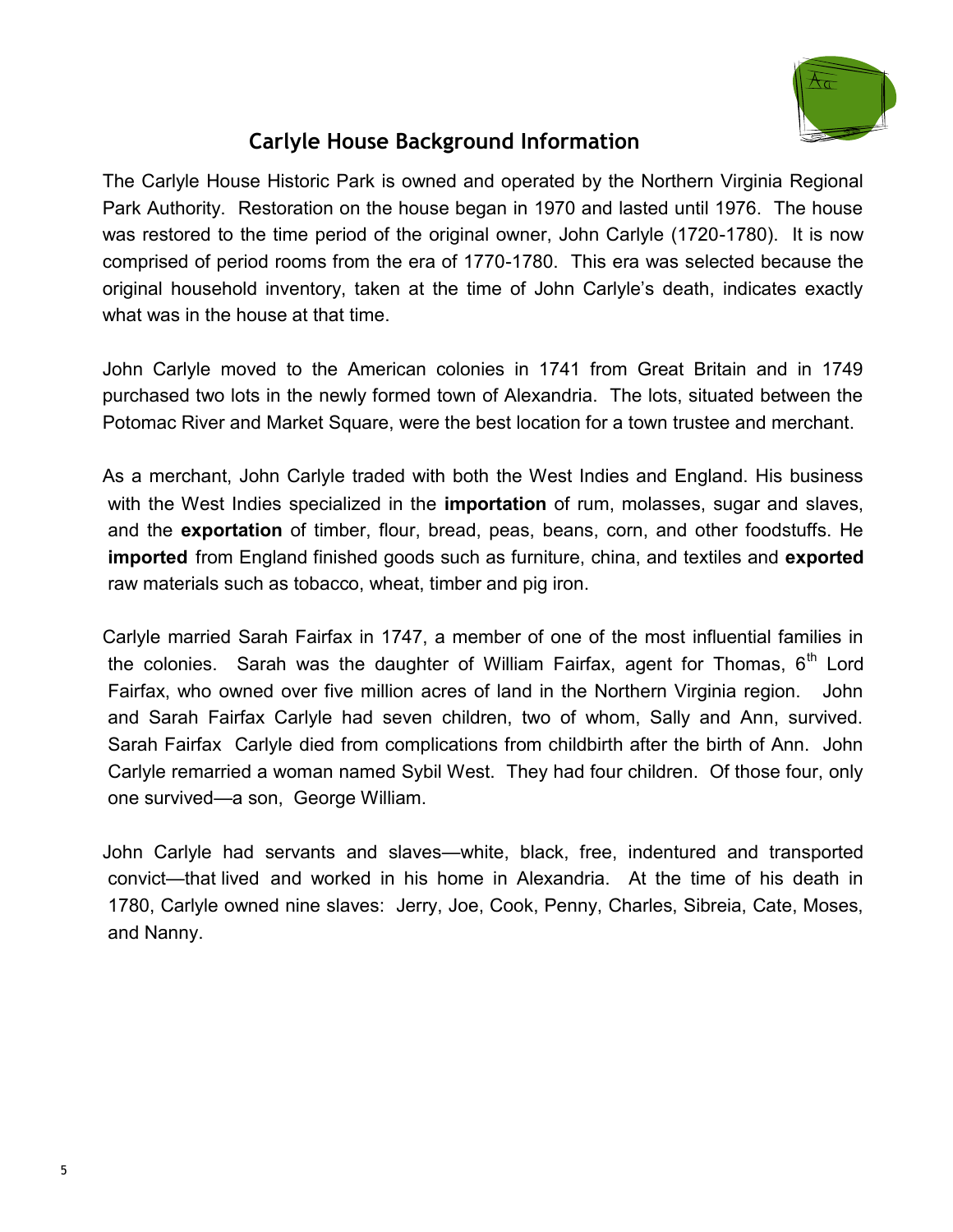

#### **Carlyle House Background Information**

The Carlyle House Historic Park is owned and operated by the Northern Virginia Regional Park Authority. Restoration on the house began in 1970 and lasted until 1976. The house was restored to the time period of the original owner, John Carlyle (1720-1780). It is now comprised of period rooms from the era of 1770-1780. This era was selected because the original household inventory, taken at the time of John Carlyle's death, indicates exactly what was in the house at that time.

John Carlyle moved to the American colonies in 1741 from Great Britain and in 1749 purchased two lots in the newly formed town of Alexandria. The lots, situated between the Potomac River and Market Square, were the best location for a town trustee and merchant.

As a merchant, John Carlyle traded with both the West Indies and England. His business with the West Indies specialized in the **importation** of rum, molasses, sugar and slaves, and the **exportation** of timber, flour, bread, peas, beans, corn, and other foodstuffs. He **imported** from England finished goods such as furniture, china, and textiles and **exported**  raw materials such as tobacco, wheat, timber and pig iron.

Carlyle married Sarah Fairfax in 1747, a member of one of the most influential families in the colonies. Sarah was the daughter of William Fairfax, agent for Thomas,  $6<sup>th</sup>$  Lord Fairfax, who owned over five million acres of land in the Northern Virginia region. John and Sarah Fairfax Carlyle had seven children, two of whom, Sally and Ann, survived. Sarah Fairfax Carlyle died from complications from childbirth after the birth of Ann. John Carlyle remarried a woman named Sybil West. They had four children. Of those four, only one survived—a son, George William.

John Carlyle had servants and slaves—white, black, free, indentured and transported convict—that lived and worked in his home in Alexandria. At the time of his death in 1780, Carlyle owned nine slaves: Jerry, Joe, Cook, Penny, Charles, Sibreia, Cate, Moses, and Nanny.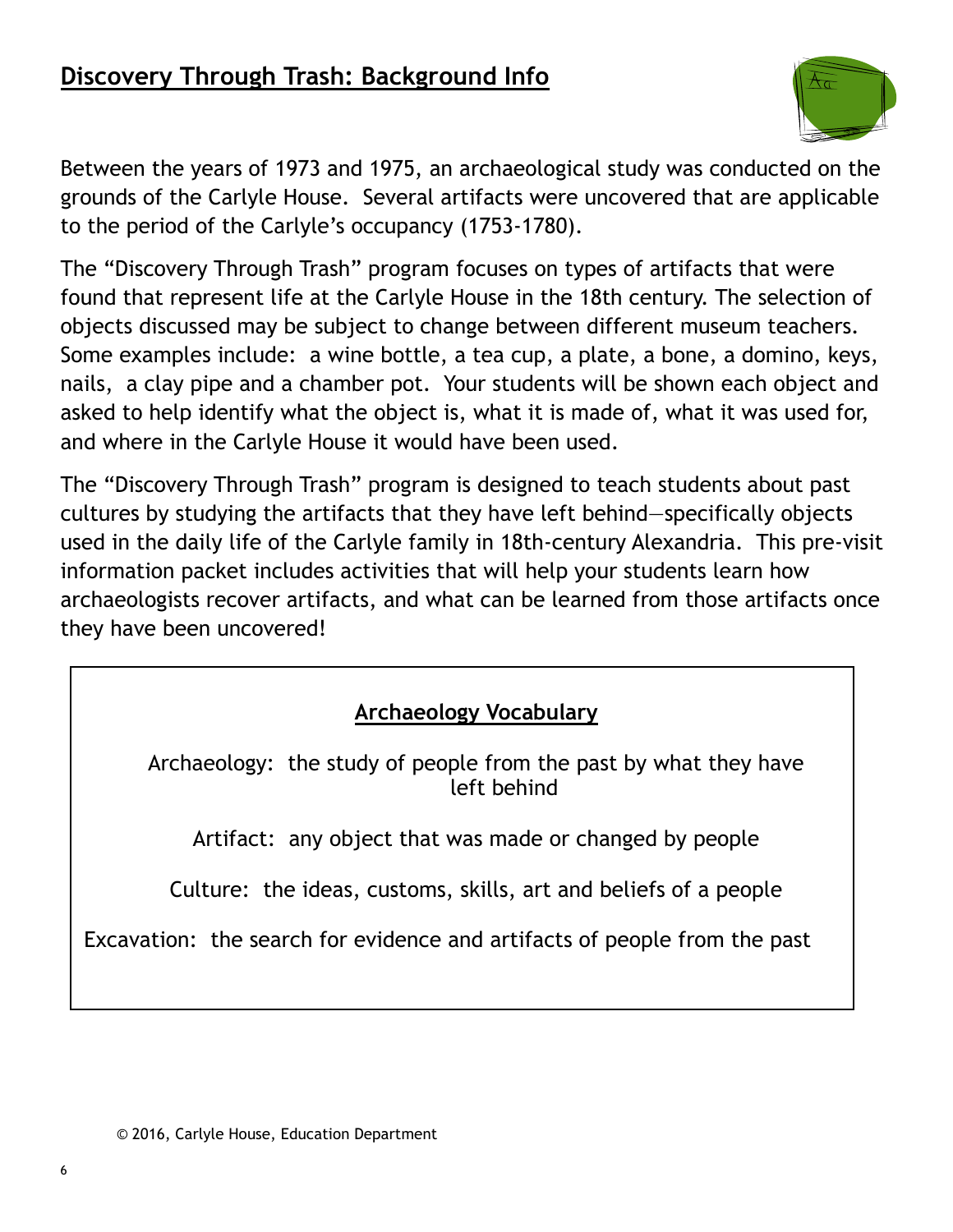### **Discovery Through Trash: Background Info**



Between the years of 1973 and 1975, an archaeological study was conducted on the grounds of the Carlyle House. Several artifacts were uncovered that are applicable to the period of the Carlyle's occupancy (1753-1780).

The "Discovery Through Trash" program focuses on types of artifacts that were found that represent life at the Carlyle House in the 18th century. The selection of objects discussed may be subject to change between different museum teachers. Some examples include: a wine bottle, a tea cup, a plate, a bone, a domino, keys, nails, a clay pipe and a chamber pot. Your students will be shown each object and asked to help identify what the object is, what it is made of, what it was used for, and where in the Carlyle House it would have been used.

The "Discovery Through Trash" program is designed to teach students about past cultures by studying the artifacts that they have left behind—specifically objects used in the daily life of the Carlyle family in 18th-century Alexandria. This pre-visit information packet includes activities that will help your students learn how archaeologists recover artifacts, and what can be learned from those artifacts once they have been uncovered!

### **Archaeology Vocabulary**

Archaeology: the study of people from the past by what they have left behind

Artifact: any object that was made or changed by people

Culture: the ideas, customs, skills, art and beliefs of a people

Excavation: the search for evidence and artifacts of people from the past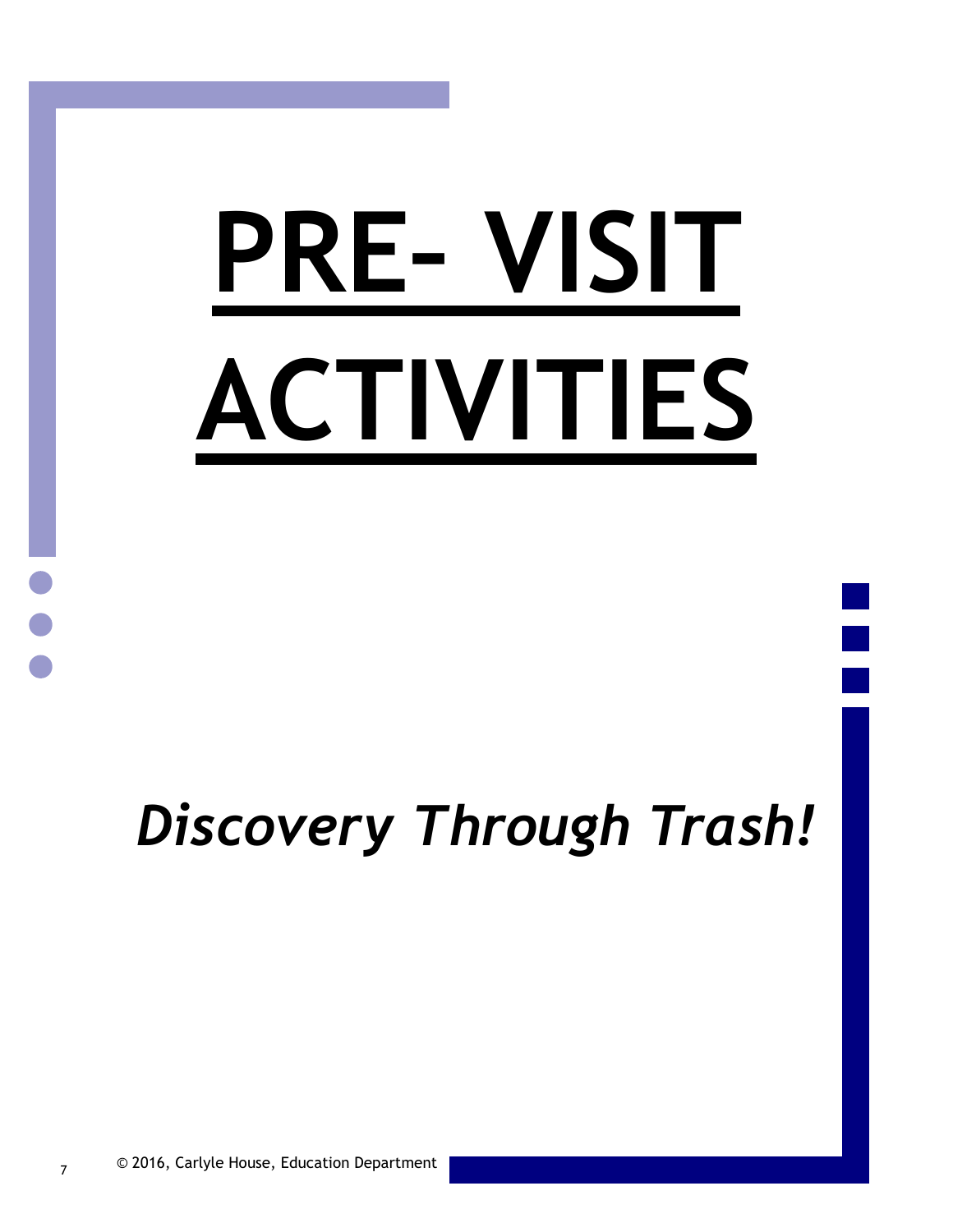# **PRE– VISIT ACTIVITIES**

# *Discovery Through Trash!*

7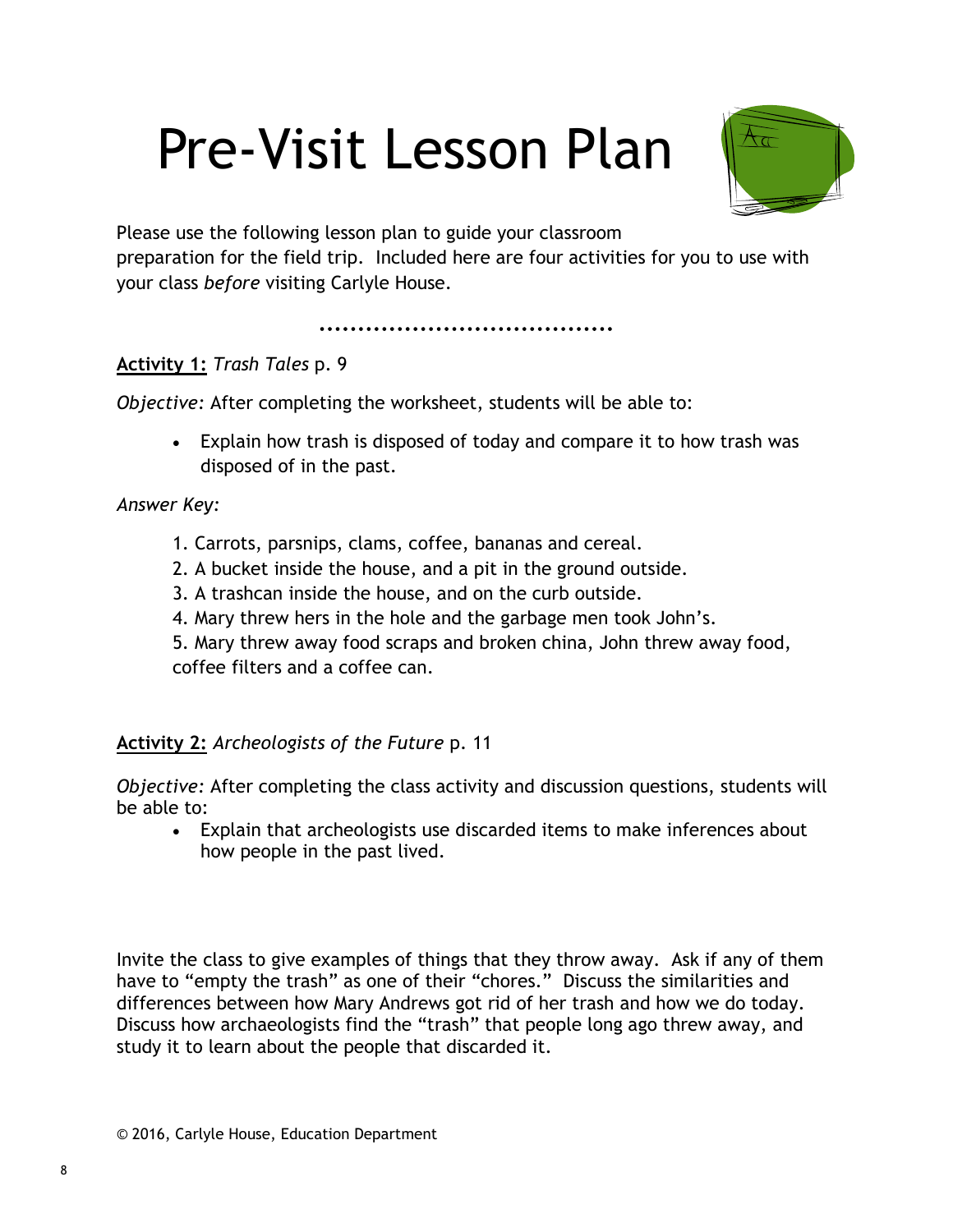# Pre-Visit Lesson Plan



Please use the following lesson plan to guide your classroom preparation for the field trip. Included here are four activities for you to use with your class *before* visiting Carlyle House.

#### **Activity 1:** *Trash Tales* p. 9

*Objective:* After completing the worksheet, students will be able to:

 Explain how trash is disposed of today and compare it to how trash was disposed of in the past.

#### *Answer Key:*

- 1. Carrots, parsnips, clams, coffee, bananas and cereal.
- 2. A bucket inside the house, and a pit in the ground outside.
- 3. A trashcan inside the house, and on the curb outside.
- 4. Mary threw hers in the hole and the garbage men took John's.
- 5. Mary threw away food scraps and broken china, John threw away food, coffee filters and a coffee can.

#### **Activity 2:** *Archeologists of the Future* p. 11

*Objective:* After completing the class activity and discussion questions, students will be able to:

 Explain that archeologists use discarded items to make inferences about how people in the past lived.

Invite the class to give examples of things that they throw away. Ask if any of them have to "empty the trash" as one of their "chores." Discuss the similarities and differences between how Mary Andrews got rid of her trash and how we do today. Discuss how archaeologists find the "trash" that people long ago threw away, and study it to learn about the people that discarded it.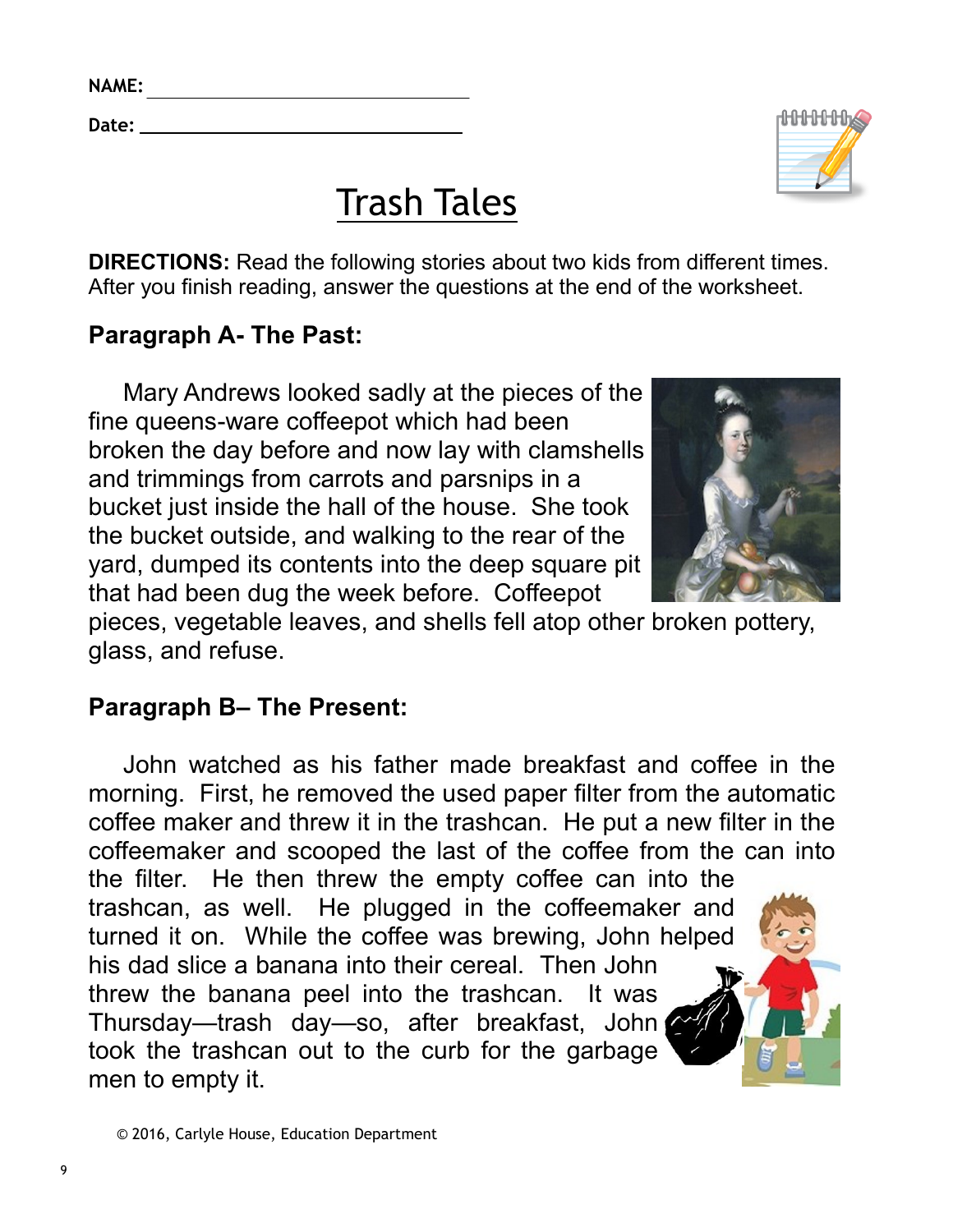9

**NAME:**

**Date:**

### Trash Tales

**DIRECTIONS:** Read the following stories about two kids from different times. After you finish reading, answer the questions at the end of the worksheet.

### **Paragraph A- The Past:**

 Mary Andrews looked sadly at the pieces of the fine queens-ware coffeepot which had been broken the day before and now lay with clamshells and trimmings from carrots and parsnips in a bucket just inside the hall of the house. She took the bucket outside, and walking to the rear of the yard, dumped its contents into the deep square pit that had been dug the week before. Coffeepot

pieces, vegetable leaves, and shells fell atop other broken pottery, glass, and refuse.

### **Paragraph B– The Present:**

© 2016, Carlyle House, Education Department

 John watched as his father made breakfast and coffee in the morning. First, he removed the used paper filter from the automatic coffee maker and threw it in the trashcan. He put a new filter in the coffeemaker and scooped the last of the coffee from the can into the filter. He then threw the empty coffee can into the trashcan, as well. He plugged in the coffeemaker and turned it on. While the coffee was brewing, John helped his dad slice a banana into their cereal. Then John threw the banana peel into the trashcan. It was Thursday—trash day—so, after breakfast, John took the trashcan out to the curb for the garbage men to empty it.



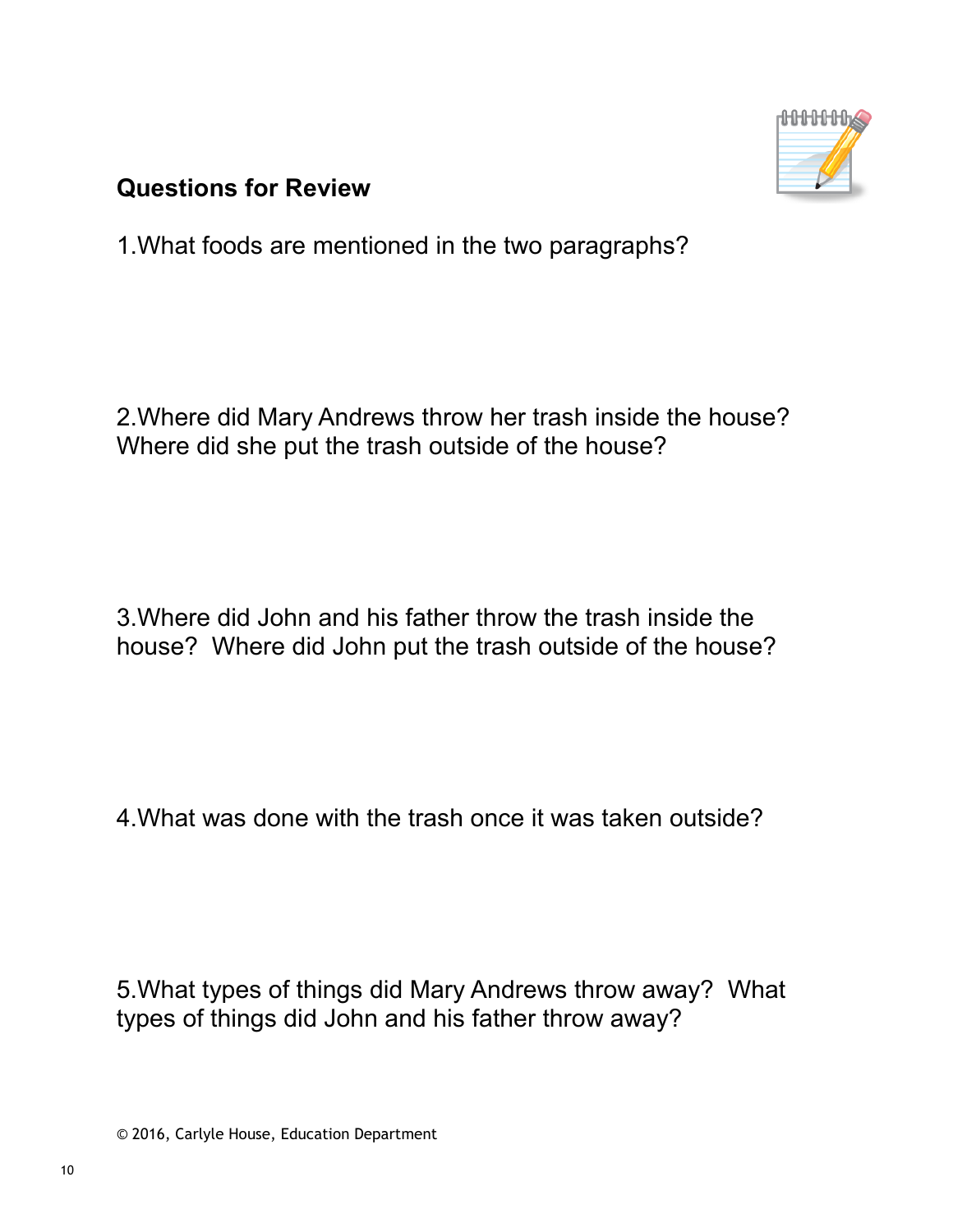

### **Questions for Review**

1.What foods are mentioned in the two paragraphs?

2.Where did Mary Andrews throw her trash inside the house? Where did she put the trash outside of the house?

3.Where did John and his father throw the trash inside the house? Where did John put the trash outside of the house?

4.What was done with the trash once it was taken outside?

5.What types of things did Mary Andrews throw away? What types of things did John and his father throw away?

© 2016, Carlyle House, Education Department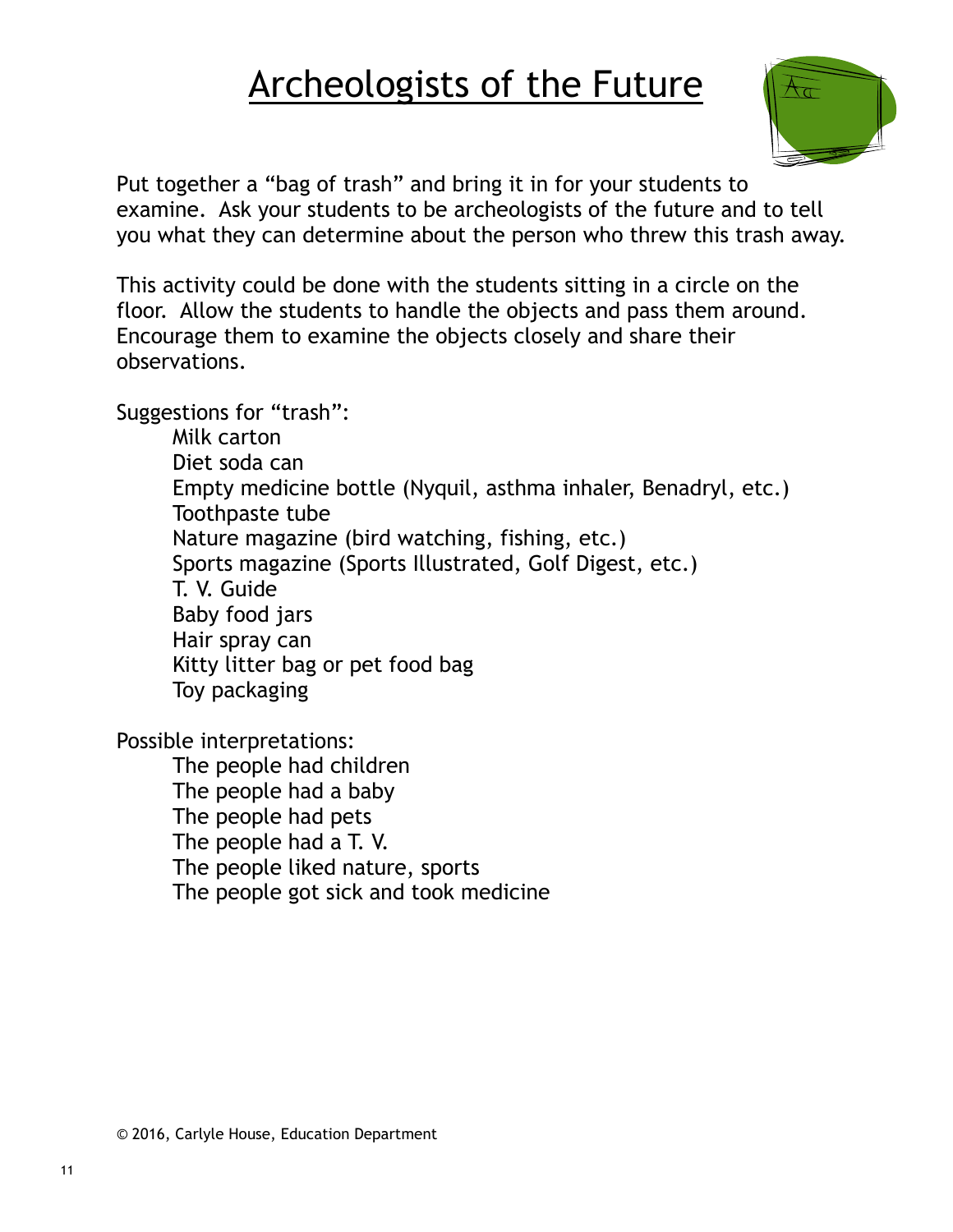### **Archeologists of the Future**



Put together a "bag of trash" and bring it in for your students to examine. Ask your students to be archeologists of the future and to tell you what they can determine about the person who threw this trash away.

This activity could be done with the students sitting in a circle on the floor. Allow the students to handle the objects and pass them around. Encourage them to examine the objects closely and share their observations.

Suggestions for "trash":

Milk carton Diet soda can Empty medicine bottle (Nyquil, asthma inhaler, Benadryl, etc.) Toothpaste tube Nature magazine (bird watching, fishing, etc.) Sports magazine (Sports Illustrated, Golf Digest, etc.) T. V. Guide Baby food jars Hair spray can Kitty litter bag or pet food bag Toy packaging

Possible interpretations:

The people had children The people had a baby The people had pets The people had a T. V. The people liked nature, sports The people got sick and took medicine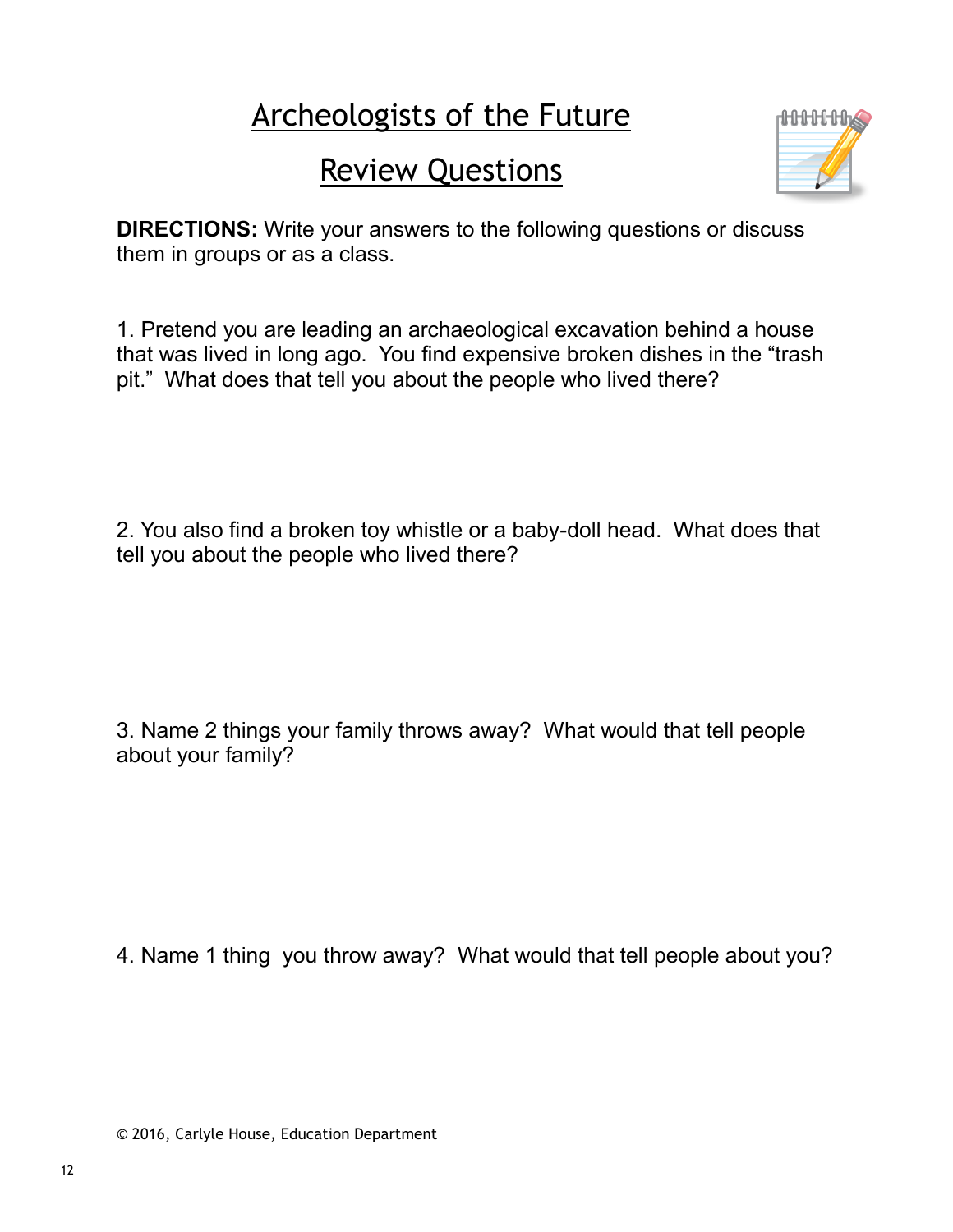### Archeologists of the Future

### Review Questions



**DIRECTIONS:** Write your answers to the following questions or discuss them in groups or as a class.

1. Pretend you are leading an archaeological excavation behind a house that was lived in long ago. You find expensive broken dishes in the "trash pit." What does that tell you about the people who lived there?

2. You also find a broken toy whistle or a baby-doll head. What does that tell you about the people who lived there?

3. Name 2 things your family throws away? What would that tell people about your family?

4. Name 1 thing you throw away? What would that tell people about you?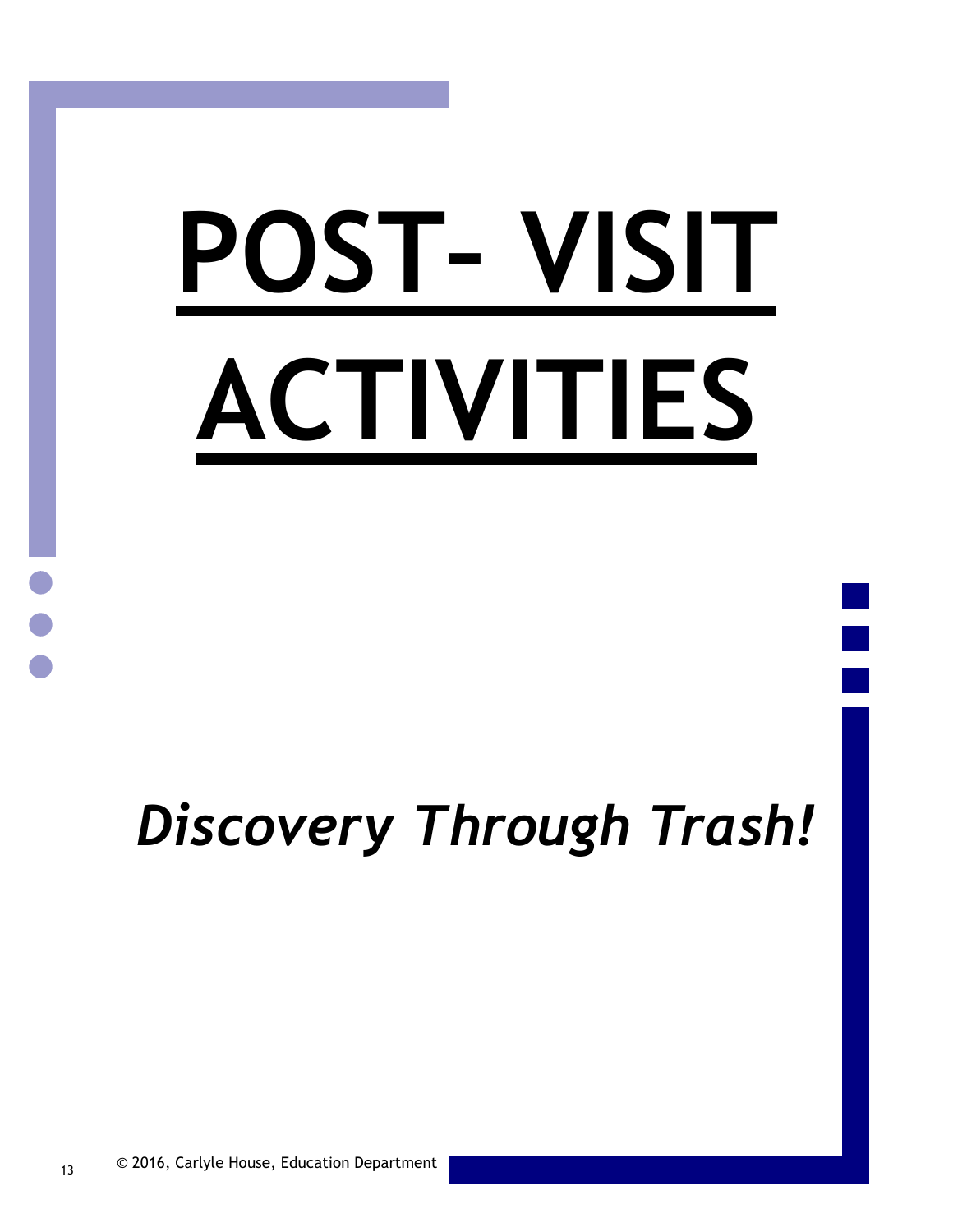# **POST– VISIT ACTIVITIES**

# *Discovery Through Trash!*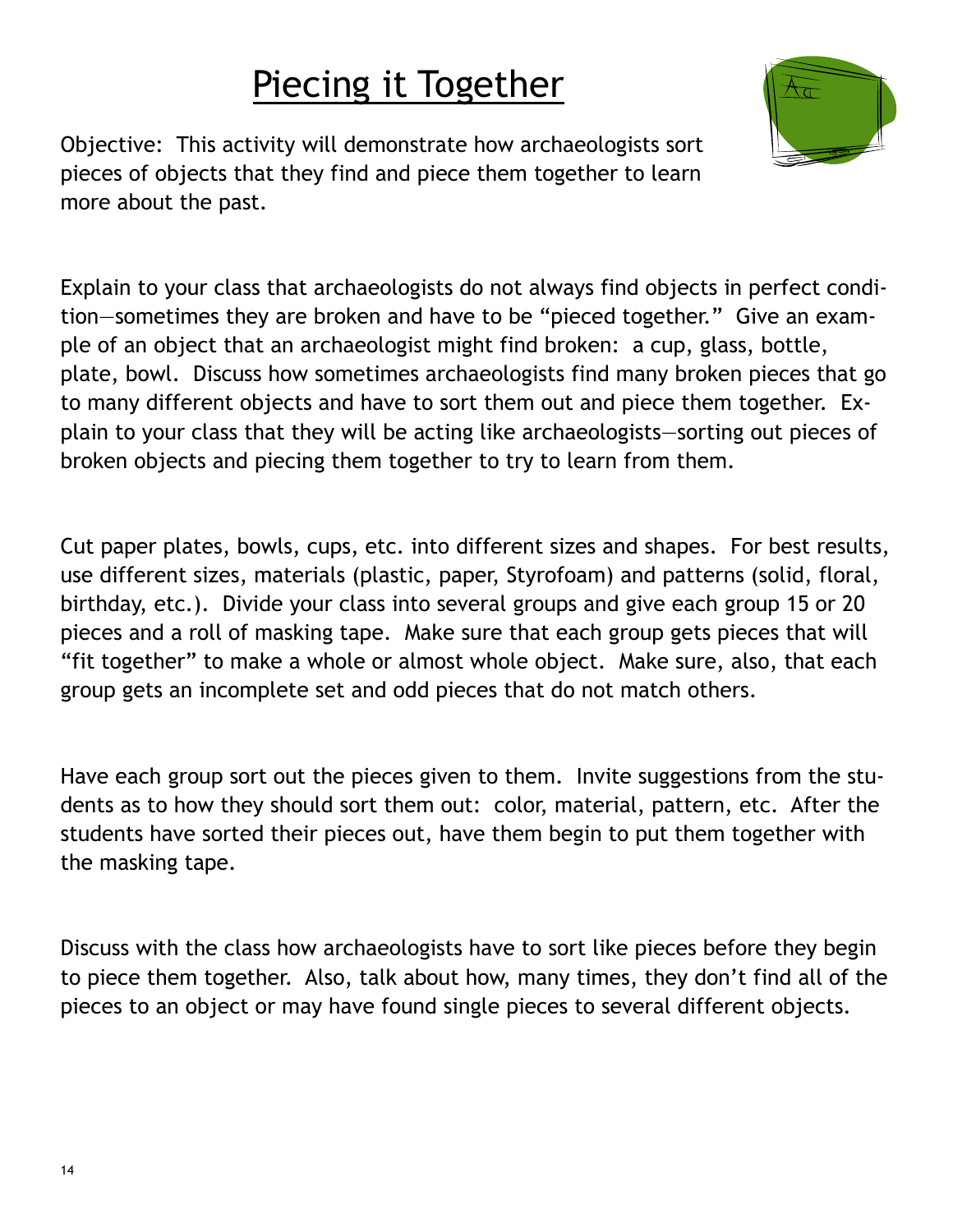### Piecing it Together

Objective: This activity will demonstrate how archaeologists sort pieces of objects that they find and piece them together to learn more about the past.

Explain to your class that archaeologists do not always find objects in perfect condition—sometimes they are broken and have to be "pieced together." Give an example of an object that an archaeologist might find broken: a cup, glass, bottle, plate, bowl. Discuss how sometimes archaeologists find many broken pieces that go to many different objects and have to sort them out and piece them together. Explain to your class that they will be acting like archaeologists—sorting out pieces of broken objects and piecing them together to try to learn from them.

Cut paper plates, bowls, cups, etc. into different sizes and shapes. For best results, use different sizes, materials (plastic, paper, Styrofoam) and patterns (solid, floral, birthday, etc.). Divide your class into several groups and give each group 15 or 20 pieces and a roll of masking tape. Make sure that each group gets pieces that will "fit together" to make a whole or almost whole object. Make sure, also, that each group gets an incomplete set and odd pieces that do not match others.

Have each group sort out the pieces given to them. Invite suggestions from the students as to how they should sort them out: color, material, pattern, etc. After the students have sorted their pieces out, have them begin to put them together with the masking tape.

Discuss with the class how archaeologists have to sort like pieces before they begin to piece them together. Also, talk about how, many times, they don't find all of the pieces to an object or may have found single pieces to several different objects.